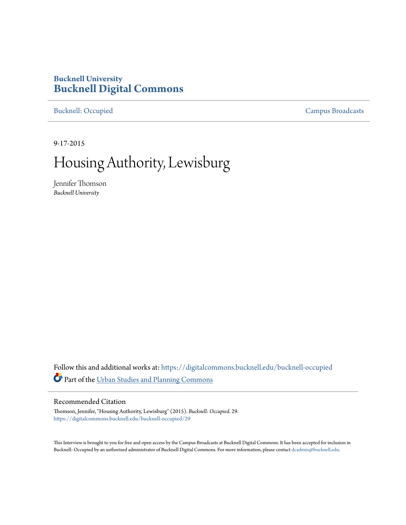## **Bucknell University [Bucknell Digital Commons](https://digitalcommons.bucknell.edu/?utm_source=digitalcommons.bucknell.edu%2Fbucknell-occupied%2F29&utm_medium=PDF&utm_campaign=PDFCoverPages)**

[Bucknell: Occupied](https://digitalcommons.bucknell.edu/bucknell-occupied?utm_source=digitalcommons.bucknell.edu%2Fbucknell-occupied%2F29&utm_medium=PDF&utm_campaign=PDFCoverPages) [Campus Broadcasts](https://digitalcommons.bucknell.edu/campus-broadcasts?utm_source=digitalcommons.bucknell.edu%2Fbucknell-occupied%2F29&utm_medium=PDF&utm_campaign=PDFCoverPages)

9-17-2015

## Housing Authority, Lewisburg

Jennifer Thomson *Bucknell University*

Follow this and additional works at: [https://digitalcommons.bucknell.edu/bucknell-occupied](https://digitalcommons.bucknell.edu/bucknell-occupied?utm_source=digitalcommons.bucknell.edu%2Fbucknell-occupied%2F29&utm_medium=PDF&utm_campaign=PDFCoverPages) Part of the [Urban Studies and Planning Commons](http://network.bepress.com/hgg/discipline/436?utm_source=digitalcommons.bucknell.edu%2Fbucknell-occupied%2F29&utm_medium=PDF&utm_campaign=PDFCoverPages)

## Recommended Citation

Thomson, Jennifer, "Housing Authority, Lewisburg" (2015). *Bucknell: Occupied*. 29. [https://digitalcommons.bucknell.edu/bucknell-occupied/29](https://digitalcommons.bucknell.edu/bucknell-occupied/29?utm_source=digitalcommons.bucknell.edu%2Fbucknell-occupied%2F29&utm_medium=PDF&utm_campaign=PDFCoverPages)

This Interview is brought to you for free and open access by the Campus Broadcasts at Bucknell Digital Commons. It has been accepted for inclusion in Bucknell: Occupied by an authorized administrator of Bucknell Digital Commons. For more information, please contact [dcadmin@bucknell.edu](mailto:dcadmin@bucknell.edu).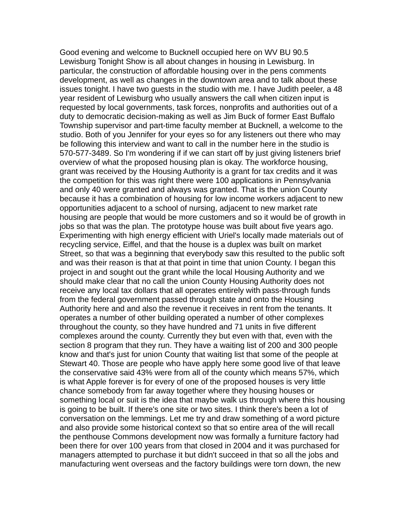Good evening and welcome to Bucknell occupied here on WV BU 90.5 Lewisburg Tonight Show is all about changes in housing in Lewisburg. In particular, the construction of affordable housing over in the pens comments development, as well as changes in the downtown area and to talk about these issues tonight. I have two guests in the studio with me. I have Judith peeler, a 48 year resident of Lewisburg who usually answers the call when citizen input is requested by local governments, task forces, nonprofits and authorities out of a duty to democratic decision-making as well as Jim Buck of former East Buffalo Township supervisor and part-time faculty member at Bucknell, a welcome to the studio. Both of you Jennifer for your eyes so for any listeners out there who may be following this interview and want to call in the number here in the studio is 570-577-3489. So I'm wondering if if we can start off by just giving listeners brief overview of what the proposed housing plan is okay. The workforce housing, grant was received by the Housing Authority is a grant for tax credits and it was the competition for this was right there were 100 applications in Pennsylvania and only 40 were granted and always was granted. That is the union County because it has a combination of housing for low income workers adjacent to new opportunities adjacent to a school of nursing, adjacent to new market rate housing are people that would be more customers and so it would be of growth in jobs so that was the plan. The prototype house was built about five years ago. Experimenting with high energy efficient with Uriel's locally made materials out of recycling service, Eiffel, and that the house is a duplex was built on market Street, so that was a beginning that everybody saw this resulted to the public soft and was their reason is that at that point in time that union County. I began this project in and sought out the grant while the local Housing Authority and we should make clear that no call the union County Housing Authority does not receive any local tax dollars that all operates entirely with pass-through funds from the federal government passed through state and onto the Housing Authority here and and also the revenue it receives in rent from the tenants. It operates a number of other building operated a number of other complexes throughout the county, so they have hundred and 71 units in five different complexes around the county. Currently they but even with that, even with the section 8 program that they run. They have a waiting list of 200 and 300 people know and that's just for union County that waiting list that some of the people at Stewart 40. Those are people who have apply here some good live of that leave the conservative said 43% were from all of the county which means 57%, which is what Apple forever is for every of one of the proposed houses is very little chance somebody from far away together where they housing houses or something local or suit is the idea that maybe walk us through where this housing is going to be built. If there's one site or two sites. I think there's been a lot of conversation on the lemmings. Let me try and draw something of a word picture and also provide some historical context so that so entire area of the will recall the penthouse Commons development now was formally a furniture factory had been there for over 100 years from that closed in 2004 and it was purchased for managers attempted to purchase it but didn't succeed in that so all the jobs and manufacturing went overseas and the factory buildings were torn down, the new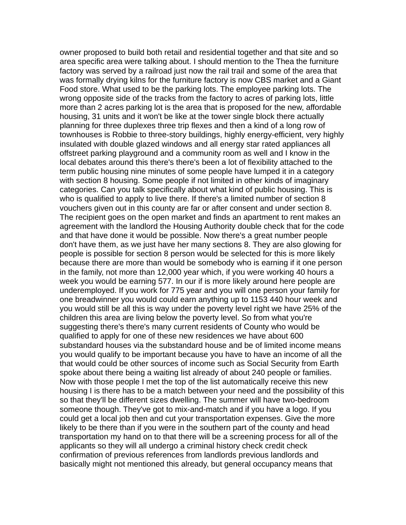owner proposed to build both retail and residential together and that site and so area specific area were talking about. I should mention to the Thea the furniture factory was served by a railroad just now the rail trail and some of the area that was formally drying kilns for the furniture factory is now CBS market and a Giant Food store. What used to be the parking lots. The employee parking lots. The wrong opposite side of the tracks from the factory to acres of parking lots, little more than 2 acres parking lot is the area that is proposed for the new, affordable housing, 31 units and it won't be like at the tower single block there actually planning for three duplexes three trip flexes and then a kind of a long row of townhouses is Robbie to three-story buildings, highly energy-efficient, very highly insulated with double glazed windows and all energy star rated appliances all offstreet parking playground and a community room as well and I know in the local debates around this there's there's been a lot of flexibility attached to the term public housing nine minutes of some people have lumped it in a category with section 8 housing. Some people if not limited in other kinds of imaginary categories. Can you talk specifically about what kind of public housing. This is who is qualified to apply to live there. If there's a limited number of section 8 vouchers given out in this county are far or after consent and under section 8. The recipient goes on the open market and finds an apartment to rent makes an agreement with the landlord the Housing Authority double check that for the code and that have done it would be possible. Now there's a great number people don't have them, as we just have her many sections 8. They are also glowing for people is possible for section 8 person would be selected for this is more likely because there are more than would be somebody who is earning if it one person in the family, not more than 12,000 year which, if you were working 40 hours a week you would be earning 577. In our if is more likely around here people are underemployed. If you work for 775 year and you will one person your family for one breadwinner you would could earn anything up to 1153 440 hour week and you would still be all this is way under the poverty level right we have 25% of the children this area are living below the poverty level. So from what you're suggesting there's there's many current residents of County who would be qualified to apply for one of these new residences we have about 600 substandard houses via the substandard house and be of limited income means you would qualify to be important because you have to have an income of all the that would could be other sources of income such as Social Security from Earth spoke about there being a waiting list already of about 240 people or families. Now with those people I met the top of the list automatically receive this new housing I is there has to be a match between your need and the possibility of this so that they'll be different sizes dwelling. The summer will have two-bedroom someone though. They've got to mix-and-match and if you have a logo. If you could get a local job then and cut your transportation expenses. Give the more likely to be there than if you were in the southern part of the county and head transportation my hand on to that there will be a screening process for all of the applicants so they will all undergo a criminal history check credit check confirmation of previous references from landlords previous landlords and basically might not mentioned this already, but general occupancy means that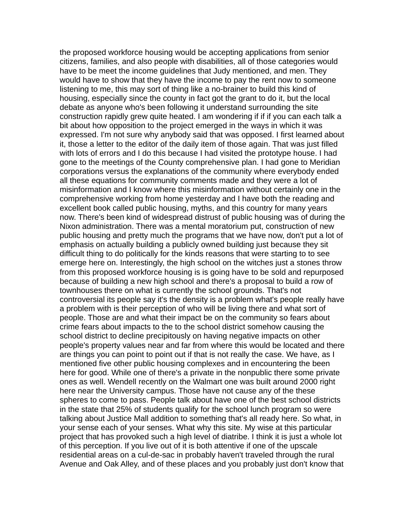the proposed workforce housing would be accepting applications from senior citizens, families, and also people with disabilities, all of those categories would have to be meet the income guidelines that Judy mentioned, and men. They would have to show that they have the income to pay the rent now to someone listening to me, this may sort of thing like a no-brainer to build this kind of housing, especially since the county in fact got the grant to do it, but the local debate as anyone who's been following it understand surrounding the site construction rapidly grew quite heated. I am wondering if if if you can each talk a bit about how opposition to the project emerged in the ways in which it was expressed. I'm not sure why anybody said that was opposed. I first learned about it, those a letter to the editor of the daily item of those again. That was just filled with lots of errors and I do this because I had visited the prototype house. I had gone to the meetings of the County comprehensive plan. I had gone to Meridian corporations versus the explanations of the community where everybody ended all these equations for community comments made and they were a lot of misinformation and I know where this misinformation without certainly one in the comprehensive working from home yesterday and I have both the reading and excellent book called public housing, myths, and this country for many years now. There's been kind of widespread distrust of public housing was of during the Nixon administration. There was a mental moratorium put, construction of new public housing and pretty much the programs that we have now, don't put a lot of emphasis on actually building a publicly owned building just because they sit difficult thing to do politically for the kinds reasons that were starting to to see emerge here on. Interestingly, the high school on the witches just a stones throw from this proposed workforce housing is is going have to be sold and repurposed because of building a new high school and there's a proposal to build a row of townhouses there on what is currently the school grounds. That's not controversial its people say it's the density is a problem what's people really have a problem with is their perception of who will be living there and what sort of people. Those are and what their impact be on the community so fears about crime fears about impacts to the to the school district somehow causing the school district to decline precipitously on having negative impacts on other people's property values near and far from where this would be located and there are things you can point to point out if that is not really the case. We have, as I mentioned five other public housing complexes and in encountering the been here for good. While one of there's a private in the nonpublic there some private ones as well. Wendell recently on the Walmart one was built around 2000 right here near the University campus. Those have not cause any of the these spheres to come to pass. People talk about have one of the best school districts in the state that 25% of students qualify for the school lunch program so were talking about Justice Mall addition to something that's all ready here. So what, in your sense each of your senses. What why this site. My wise at this particular project that has provoked such a high level of diatribe. I think it is just a whole lot of this perception. If you live out of it is both attentive if one of the upscale residential areas on a cul-de-sac in probably haven't traveled through the rural Avenue and Oak Alley, and of these places and you probably just don't know that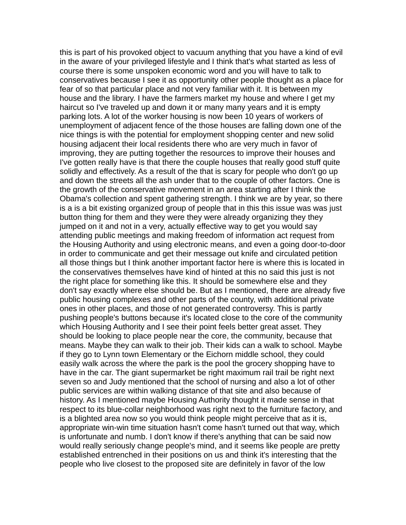this is part of his provoked object to vacuum anything that you have a kind of evil in the aware of your privileged lifestyle and I think that's what started as less of course there is some unspoken economic word and you will have to talk to conservatives because I see it as opportunity other people thought as a place for fear of so that particular place and not very familiar with it. It is between my house and the library. I have the farmers market my house and where I get my haircut so I've traveled up and down it or many many years and it is empty parking lots. A lot of the worker housing is now been 10 years of workers of unemployment of adjacent fence of the those houses are falling down one of the nice things is with the potential for employment shopping center and new solid housing adjacent their local residents there who are very much in favor of improving, they are putting together the resources to improve their houses and I've gotten really have is that there the couple houses that really good stuff quite solidly and effectively. As a result of the that is scary for people who don't go up and down the streets all the ash under that to the couple of other factors. One is the growth of the conservative movement in an area starting after I think the Obama's collection and spent gathering strength. I think we are by year, so there is a is a bit existing organized group of people that in this this issue was was just button thing for them and they were they were already organizing they they jumped on it and not in a very, actually effective way to get you would say attending public meetings and making freedom of information act request from the Housing Authority and using electronic means, and even a going door-to-door in order to communicate and get their message out knife and circulated petition all those things but I think another important factor here is where this is located in the conservatives themselves have kind of hinted at this no said this just is not the right place for something like this. It should be somewhere else and they don't say exactly where else should be. But as I mentioned, there are already five public housing complexes and other parts of the county, with additional private ones in other places, and those of not generated controversy. This is partly pushing people's buttons because it's located close to the core of the community which Housing Authority and I see their point feels better great asset. They should be looking to place people near the core, the community, because that means. Maybe they can walk to their job. Their kids can a walk to school. Maybe if they go to Lynn town Elementary or the Eichorn middle school, they could easily walk across the where the park is the pool the grocery shopping have to have in the car. The giant supermarket be right maximum rail trail be right next seven so and Judy mentioned that the school of nursing and also a lot of other public services are within walking distance of that site and also because of history. As I mentioned maybe Housing Authority thought it made sense in that respect to its blue-collar neighborhood was right next to the furniture factory, and is a blighted area now so you would think people might perceive that as it is, appropriate win-win time situation hasn't come hasn't turned out that way, which is unfortunate and numb. I don't know if there's anything that can be said now would really seriously change people's mind, and it seems like people are pretty established entrenched in their positions on us and think it's interesting that the people who live closest to the proposed site are definitely in favor of the low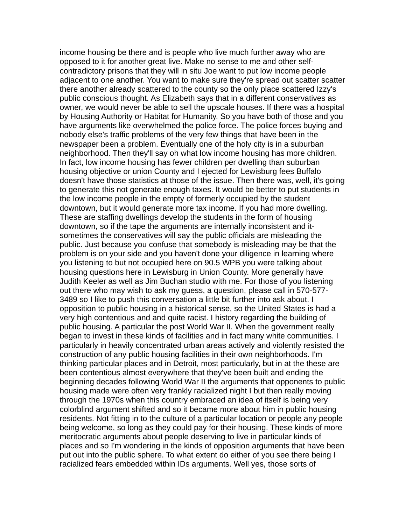income housing be there and is people who live much further away who are opposed to it for another great live. Make no sense to me and other selfcontradictory prisons that they will in situ Joe want to put low income people adjacent to one another. You want to make sure they're spread out scatter scatter there another already scattered to the county so the only place scattered Izzy's public conscious thought. As Elizabeth says that in a different conservatives as owner, we would never be able to sell the upscale houses. If there was a hospital by Housing Authority or Habitat for Humanity. So you have both of those and you have arguments like overwhelmed the police force. The police forces buying and nobody else's traffic problems of the very few things that have been in the newspaper been a problem. Eventually one of the holy city is in a suburban neighborhood. Then they'll say oh what low income housing has more children. In fact, low income housing has fewer children per dwelling than suburban housing objective or union County and I ejected for Lewisburg fees Buffalo doesn't have those statistics at those of the issue. Then there was, well, it's going to generate this not generate enough taxes. It would be better to put students in the low income people in the empty of formerly occupied by the student downtown, but it would generate more tax income. If you had more dwelling. These are staffing dwellings develop the students in the form of housing downtown, so if the tape the arguments are internally inconsistent and itsometimes the conservatives will say the public officials are misleading the public. Just because you confuse that somebody is misleading may be that the problem is on your side and you haven't done your diligence in learning where you listening to but not occupied here on 90.5 WPB you were talking about housing questions here in Lewisburg in Union County. More generally have Judith Keeler as well as Jim Buchan studio with me. For those of you listening out there who may wish to ask my guess, a question, please call in 570-577- 3489 so I like to push this conversation a little bit further into ask about. I opposition to public housing in a historical sense, so the United States is had a very high contentious and and quite racist. I history regarding the building of public housing. A particular the post World War II. When the government really began to invest in these kinds of facilities and in fact many white communities. I particularly in heavily concentrated urban areas actively and violently resisted the construction of any public housing facilities in their own neighborhoods. I'm thinking particular places and in Detroit, most particularly, but in at the these are been contentious almost everywhere that they've been built and ending the beginning decades following World War II the arguments that opponents to public housing made were often very frankly racialized night I but then really moving through the 1970s when this country embraced an idea of itself is being very colorblind argument shifted and so it became more about him in public housing residents. Not fitting in to the culture of a particular location or people any people being welcome, so long as they could pay for their housing. These kinds of more meritocratic arguments about people deserving to live in particular kinds of places and so I'm wondering in the kinds of opposition arguments that have been put out into the public sphere. To what extent do either of you see there being I racialized fears embedded within IDs arguments. Well yes, those sorts of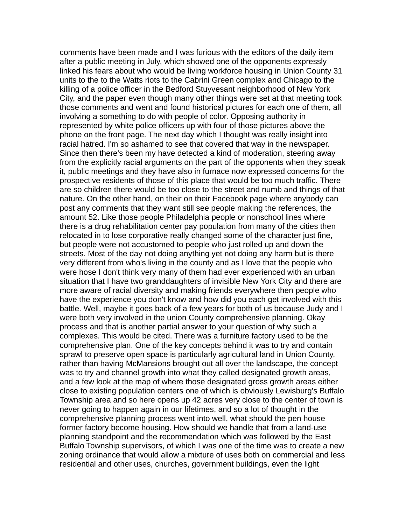comments have been made and I was furious with the editors of the daily item after a public meeting in July, which showed one of the opponents expressly linked his fears about who would be living workforce housing in Union County 31 units to the to the Watts riots to the Cabrini Green complex and Chicago to the killing of a police officer in the Bedford Stuyvesant neighborhood of New York City, and the paper even though many other things were set at that meeting took those comments and went and found historical pictures for each one of them, all involving a something to do with people of color. Opposing authority in represented by white police officers up with four of those pictures above the phone on the front page. The next day which I thought was really insight into racial hatred. I'm so ashamed to see that covered that way in the newspaper. Since then there's been my have detected a kind of moderation, steering away from the explicitly racial arguments on the part of the opponents when they speak it, public meetings and they have also in furnace now expressed concerns for the prospective residents of those of this place that would be too much traffic. There are so children there would be too close to the street and numb and things of that nature. On the other hand, on their on their Facebook page where anybody can post any comments that they want still see people making the references, the amount 52. Like those people Philadelphia people or nonschool lines where there is a drug rehabilitation center pay population from many of the cities then relocated in to lose corporative really changed some of the character just fine, but people were not accustomed to people who just rolled up and down the streets. Most of the day not doing anything yet not doing any harm but is there very different from who's living in the county and as I love that the people who were hose I don't think very many of them had ever experienced with an urban situation that I have two granddaughters of invisible New York City and there are more aware of racial diversity and making friends everywhere then people who have the experience you don't know and how did you each get involved with this battle. Well, maybe it goes back of a few years for both of us because Judy and I were both very involved in the union County comprehensive planning. Okay process and that is another partial answer to your question of why such a complexes. This would be cited. There was a furniture factory used to be the comprehensive plan. One of the key concepts behind it was to try and contain sprawl to preserve open space is particularly agricultural land in Union County, rather than having McMansions brought out all over the landscape, the concept was to try and channel growth into what they called designated growth areas, and a few look at the map of where those designated gross growth areas either close to existing population centers one of which is obviously Lewisburg's Buffalo Township area and so here opens up 42 acres very close to the center of town is never going to happen again in our lifetimes, and so a lot of thought in the comprehensive planning process went into well, what should the pen house former factory become housing. How should we handle that from a land-use planning standpoint and the recommendation which was followed by the East Buffalo Township supervisors, of which I was one of the time was to create a new zoning ordinance that would allow a mixture of uses both on commercial and less residential and other uses, churches, government buildings, even the light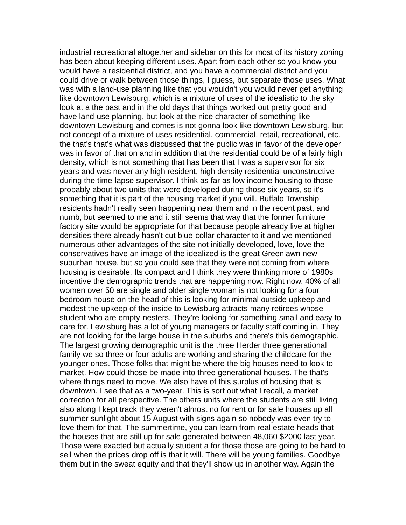industrial recreational altogether and sidebar on this for most of its history zoning has been about keeping different uses. Apart from each other so you know you would have a residential district, and you have a commercial district and you could drive or walk between those things, I guess, but separate those uses. What was with a land-use planning like that you wouldn't you would never get anything like downtown Lewisburg, which is a mixture of uses of the idealistic to the sky look at a the past and in the old days that things worked out pretty good and have land-use planning, but look at the nice character of something like downtown Lewisburg and comes is not gonna look like downtown Lewisburg, but not concept of a mixture of uses residential, commercial, retail, recreational, etc. the that's that's what was discussed that the public was in favor of the developer was in favor of that on and in addition that the residential could be of a fairly high density, which is not something that has been that I was a supervisor for six years and was never any high resident, high density residential unconstructive during the time-lapse supervisor. I think as far as low income housing to those probably about two units that were developed during those six years, so it's something that it is part of the housing market if you will. Buffalo Township residents hadn't really seen happening near them and in the recent past, and numb, but seemed to me and it still seems that way that the former furniture factory site would be appropriate for that because people already live at higher densities there already hasn't cut blue-collar character to it and we mentioned numerous other advantages of the site not initially developed, love, love the conservatives have an image of the idealized is the great Greenlawn new suburban house, but so you could see that they were not coming from where housing is desirable. Its compact and I think they were thinking more of 1980s incentive the demographic trends that are happening now. Right now, 40% of all women over 50 are single and older single woman is not looking for a four bedroom house on the head of this is looking for minimal outside upkeep and modest the upkeep of the inside to Lewisburg attracts many retirees whose student who are empty-nesters. They're looking for something small and easy to care for. Lewisburg has a lot of young managers or faculty staff coming in. They are not looking for the large house in the suburbs and there's this demographic. The largest growing demographic unit is the three Herder three generational family we so three or four adults are working and sharing the childcare for the younger ones. Those folks that might be where the big houses need to look to market. How could those be made into three generational houses. The that's where things need to move. We also have of this surplus of housing that is downtown. I see that as a two-year. This is sort out what I recall, a market correction for all perspective. The others units where the students are still living also along I kept track they weren't almost no for rent or for sale houses up all summer sunlight about 15 August with signs again so nobody was even try to love them for that. The summertime, you can learn from real estate heads that the houses that are still up for sale generated between 48,060 \$2000 last year. Those were exacted but actually student a for those those are going to be hard to sell when the prices drop off is that it will. There will be young families. Goodbye them but in the sweat equity and that they'll show up in another way. Again the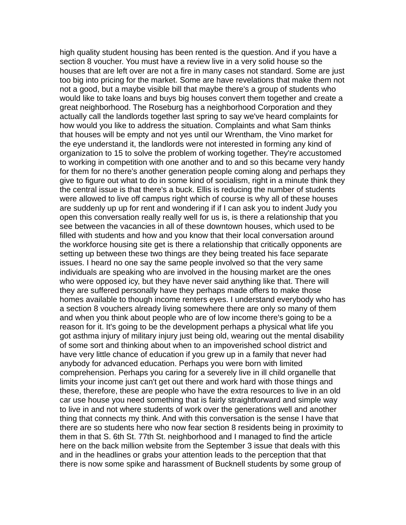high quality student housing has been rented is the question. And if you have a section 8 voucher. You must have a review live in a very solid house so the houses that are left over are not a fire in many cases not standard. Some are just too big into pricing for the market. Some are have revelations that make them not not a good, but a maybe visible bill that maybe there's a group of students who would like to take loans and buys big houses convert them together and create a great neighborhood. The Roseburg has a neighborhood Corporation and they actually call the landlords together last spring to say we've heard complaints for how would you like to address the situation. Complaints and what Sam thinks that houses will be empty and not yes until our Wrentham, the Vino market for the eye understand it, the landlords were not interested in forming any kind of organization to 15 to solve the problem of working together. They're accustomed to working in competition with one another and to and so this became very handy for them for no there's another generation people coming along and perhaps they give to figure out what to do in some kind of socialism, right in a minute think they the central issue is that there's a buck. Ellis is reducing the number of students were allowed to live off campus right which of course is why all of these houses are suddenly up up for rent and wondering if if I can ask you to indent Judy you open this conversation really really well for us is, is there a relationship that you see between the vacancies in all of these downtown houses, which used to be filled with students and how and you know that their local conversation around the workforce housing site get is there a relationship that critically opponents are setting up between these two things are they being treated his face separate issues. I heard no one say the same people involved so that the very same individuals are speaking who are involved in the housing market are the ones who were opposed icy, but they have never said anything like that. There will they are suffered personally have they perhaps made offers to make those homes available to though income renters eyes. I understand everybody who has a section 8 vouchers already living somewhere there are only so many of them and when you think about people who are of low income there's going to be a reason for it. It's going to be the development perhaps a physical what life you got asthma injury of military injury just being old, wearing out the mental disability of some sort and thinking about when to an impoverished school district and have very little chance of education if you grew up in a family that never had anybody for advanced education. Perhaps you were born with limited comprehension. Perhaps you caring for a severely live in ill child organelle that limits your income just can't get out there and work hard with those things and these, therefore, these are people who have the extra resources to live in an old car use house you need something that is fairly straightforward and simple way to live in and not where students of work over the generations well and another thing that connects my think. And with this conversation is the sense I have that there are so students here who now fear section 8 residents being in proximity to them in that S. 6th St. 77th St. neighborhood and I managed to find the article here on the back million website from the September 3 issue that deals with this and in the headlines or grabs your attention leads to the perception that that there is now some spike and harassment of Bucknell students by some group of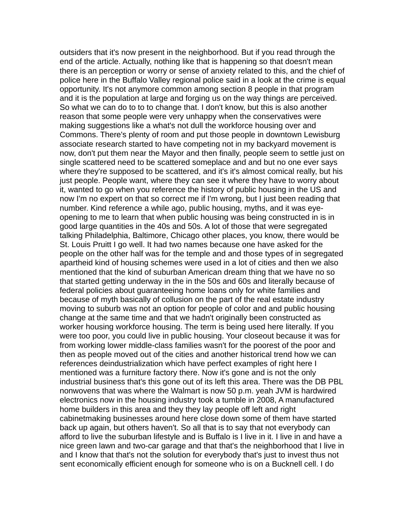outsiders that it's now present in the neighborhood. But if you read through the end of the article. Actually, nothing like that is happening so that doesn't mean there is an perception or worry or sense of anxiety related to this, and the chief of police here in the Buffalo Valley regional police said in a look at the crime is equal opportunity. It's not anymore common among section 8 people in that program and it is the population at large and forging us on the way things are perceived. So what we can do to to to change that. I don't know, but this is also another reason that some people were very unhappy when the conservatives were making suggestions like a what's not dull the workforce housing over and Commons. There's plenty of room and put those people in downtown Lewisburg associate research started to have competing not in my backyard movement is now, don't put them near the Mayor and then finally, people seem to settle just on single scattered need to be scattered someplace and and but no one ever says where they're supposed to be scattered, and it's it's almost comical really, but his just people. People want, where they can see it where they have to worry about it, wanted to go when you reference the history of public housing in the US and now I'm no expert on that so correct me if I'm wrong, but I just been reading that number. Kind reference a while ago, public housing, myths, and it was eyeopening to me to learn that when public housing was being constructed in is in good large quantities in the 40s and 50s. A lot of those that were segregated talking Philadelphia, Baltimore, Chicago other places, you know, there would be St. Louis Pruitt I go well. It had two names because one have asked for the people on the other half was for the temple and and those types of in segregated apartheid kind of housing schemes were used in a lot of cities and then we also mentioned that the kind of suburban American dream thing that we have no so that started getting underway in the in the 50s and 60s and literally because of federal policies about guaranteeing home loans only for white families and because of myth basically of collusion on the part of the real estate industry moving to suburb was not an option for people of color and and public housing change at the same time and that we hadn't originally been constructed as worker housing workforce housing. The term is being used here literally. If you were too poor, you could live in public housing. Your closeout because it was for from working lower middle-class families wasn't for the poorest of the poor and then as people moved out of the cities and another historical trend how we can references deindustrialization which have perfect examples of right here I mentioned was a furniture factory there. Now it's gone and is not the only industrial business that's this gone out of its left this area. There was the DB PBL nonwovens that was where the Walmart is now 50 p.m. yeah JVM is hardwired electronics now in the housing industry took a tumble in 2008, A manufactured home builders in this area and they they lay people off left and right cabinetmaking businesses around here close down some of them have started back up again, but others haven't. So all that is to say that not everybody can afford to live the suburban lifestyle and is Buffalo is I live in it. I live in and have a nice green lawn and two-car garage and that that's the neighborhood that I live in and I know that that's not the solution for everybody that's just to invest thus not sent economically efficient enough for someone who is on a Bucknell cell. I do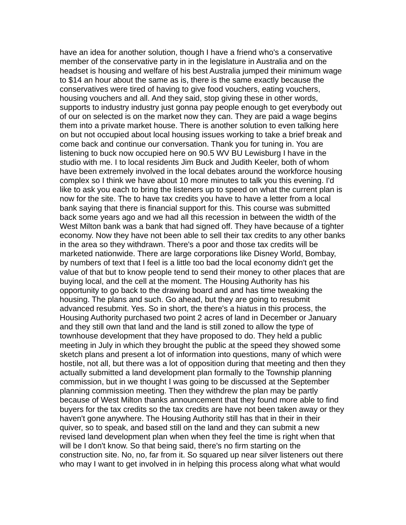have an idea for another solution, though I have a friend who's a conservative member of the conservative party in in the legislature in Australia and on the headset is housing and welfare of his best Australia jumped their minimum wage to \$14 an hour about the same as is, there is the same exactly because the conservatives were tired of having to give food vouchers, eating vouchers, housing vouchers and all. And they said, stop giving these in other words, supports to industry industry just gonna pay people enough to get everybody out of our on selected is on the market now they can. They are paid a wage begins them into a private market house. There is another solution to even talking here on but not occupied about local housing issues working to take a brief break and come back and continue our conversation. Thank you for tuning in. You are listening to buck now occupied here on 90.5 WV BU Lewisburg I have in the studio with me. I to local residents Jim Buck and Judith Keeler, both of whom have been extremely involved in the local debates around the workforce housing complex so I think we have about 10 more minutes to talk you this evening. I'd like to ask you each to bring the listeners up to speed on what the current plan is now for the site. The to have tax credits you have to have a letter from a local bank saying that there is financial support for this. This course was submitted back some years ago and we had all this recession in between the width of the West Milton bank was a bank that had signed off. They have because of a tighter economy. Now they have not been able to sell their tax credits to any other banks in the area so they withdrawn. There's a poor and those tax credits will be marketed nationwide. There are large corporations like Disney World, Bombay, by numbers of text that I feel is a little too bad the local economy didn't get the value of that but to know people tend to send their money to other places that are buying local, and the cell at the moment. The Housing Authority has his opportunity to go back to the drawing board and and has time tweaking the housing. The plans and such. Go ahead, but they are going to resubmit advanced resubmit. Yes. So in short, the there's a hiatus in this process, the Housing Authority purchased two point 2 acres of land in December or January and they still own that land and the land is still zoned to allow the type of townhouse development that they have proposed to do. They held a public meeting in July in which they brought the public at the speed they showed some sketch plans and present a lot of information into questions, many of which were hostile, not all, but there was a lot of opposition during that meeting and then they actually submitted a land development plan formally to the Township planning commission, but in we thought I was going to be discussed at the September planning commission meeting. Then they withdrew the plan may be partly because of West Milton thanks announcement that they found more able to find buyers for the tax credits so the tax credits are have not been taken away or they haven't gone anywhere. The Housing Authority still has that in their in their quiver, so to speak, and based still on the land and they can submit a new revised land development plan when when they feel the time is right when that will be I don't know. So that being said, there's no firm starting on the construction site. No, no, far from it. So squared up near silver listeners out there who may I want to get involved in in helping this process along what what would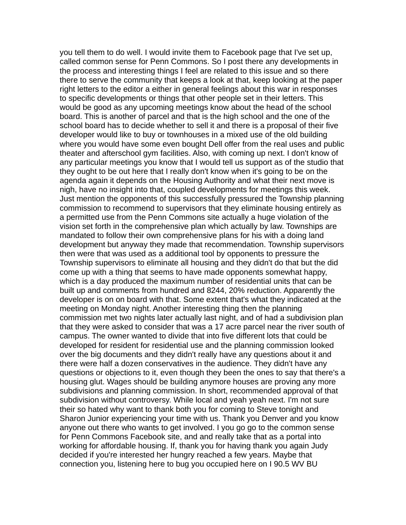you tell them to do well. I would invite them to Facebook page that I've set up, called common sense for Penn Commons. So I post there any developments in the process and interesting things I feel are related to this issue and so there there to serve the community that keeps a look at that, keep looking at the paper right letters to the editor a either in general feelings about this war in responses to specific developments or things that other people set in their letters. This would be good as any upcoming meetings know about the head of the school board. This is another of parcel and that is the high school and the one of the school board has to decide whether to sell it and there is a proposal of their five developer would like to buy or townhouses in a mixed use of the old building where you would have some even bought Dell offer from the real uses and public theater and afterschool gym facilities. Also, with coming up next. I don't know of any particular meetings you know that I would tell us support as of the studio that they ought to be out here that I really don't know when it's going to be on the agenda again it depends on the Housing Authority and what their next move is nigh, have no insight into that, coupled developments for meetings this week. Just mention the opponents of this successfully pressured the Township planning commission to recommend to supervisors that they eliminate housing entirely as a permitted use from the Penn Commons site actually a huge violation of the vision set forth in the comprehensive plan which actually by law. Townships are mandated to follow their own comprehensive plans for his with a doing land development but anyway they made that recommendation. Township supervisors then were that was used as a additional tool by opponents to pressure the Township supervisors to eliminate all housing and they didn't do that but the did come up with a thing that seems to have made opponents somewhat happy, which is a day produced the maximum number of residential units that can be built up and comments from hundred and 8244, 20% reduction. Apparently the developer is on on board with that. Some extent that's what they indicated at the meeting on Monday night. Another interesting thing then the planning commission met two nights later actually last night, and of had a subdivision plan that they were asked to consider that was a 17 acre parcel near the river south of campus. The owner wanted to divide that into five different lots that could be developed for resident for residential use and the planning commission looked over the big documents and they didn't really have any questions about it and there were half a dozen conservatives in the audience. They didn't have any questions or objections to it, even though they been the ones to say that there's a housing glut. Wages should be building anymore houses are proving any more subdivisions and planning commission. In short, recommended approval of that subdivision without controversy. While local and yeah yeah next. I'm not sure their so hated why want to thank both you for coming to Steve tonight and Sharon Junior experiencing your time with us. Thank you Denver and you know anyone out there who wants to get involved. I you go go to the common sense for Penn Commons Facebook site, and and really take that as a portal into working for affordable housing. If, thank you for having thank you again Judy decided if you're interested her hungry reached a few years. Maybe that connection you, listening here to bug you occupied here on I 90.5 WV BU